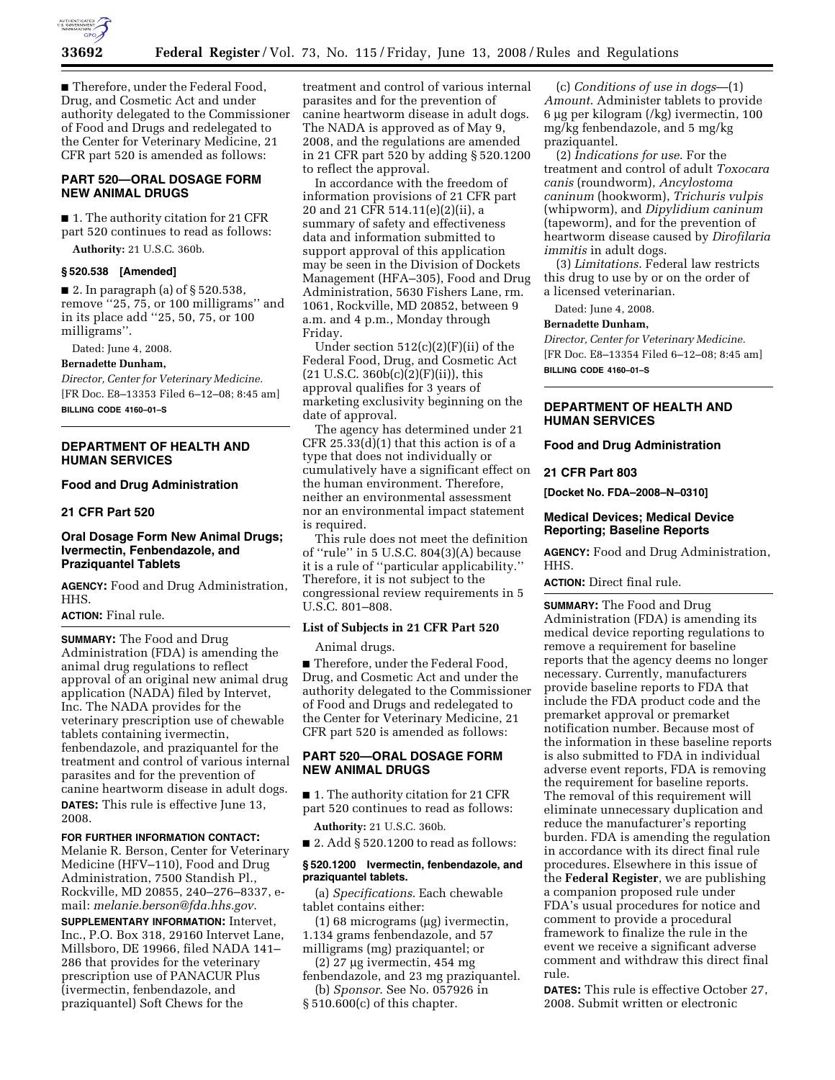

■ Therefore, under the Federal Food, Drug, and Cosmetic Act and under authority delegated to the Commissioner of Food and Drugs and redelegated to the Center for Veterinary Medicine, 21 CFR part 520 is amended as follows:

# **PART 520—ORAL DOSAGE FORM NEW ANIMAL DRUGS**

■ 1. The authority citation for 21 CFR part 520 continues to read as follows:

**Authority:** 21 U.S.C. 360b.

### **§ 520.538 [Amended]**

 $\blacksquare$  2. In paragraph (a) of § 520.538, remove ''25, 75, or 100 milligrams'' and in its place add ''25, 50, 75, or 100 milligrams''.

Dated: June 4, 2008.

#### **Bernadette Dunham,**

*Director, Center for Veterinary Medicine.*  [FR Doc. E8–13353 Filed 6–12–08; 8:45 am] **BILLING CODE 4160–01–S** 

### **DEPARTMENT OF HEALTH AND HUMAN SERVICES**

# **Food and Drug Administration**

#### **21 CFR Part 520**

## **Oral Dosage Form New Animal Drugs; Ivermectin, Fenbendazole, and Praziquantel Tablets**

**AGENCY:** Food and Drug Administration, HHS.

# **ACTION:** Final rule.

**SUMMARY:** The Food and Drug Administration (FDA) is amending the animal drug regulations to reflect approval of an original new animal drug application (NADA) filed by Intervet, Inc. The NADA provides for the veterinary prescription use of chewable tablets containing ivermectin, fenbendazole, and praziquantel for the treatment and control of various internal parasites and for the prevention of canine heartworm disease in adult dogs. **DATES:** This rule is effective June 13, 2008.

# **FOR FURTHER INFORMATION CONTACT:**

Melanie R. Berson, Center for Veterinary Medicine (HFV–110), Food and Drug Administration, 7500 Standish Pl., Rockville, MD 20855, 240–276–8337, email: *melanie.berson@fda.hhs.gov*.

**SUPPLEMENTARY INFORMATION:** Intervet, Inc., P.O. Box 318, 29160 Intervet Lane, Millsboro, DE 19966, filed NADA 141– 286 that provides for the veterinary prescription use of PANACUR Plus (ivermectin, fenbendazole, and praziquantel) Soft Chews for the

treatment and control of various internal parasites and for the prevention of canine heartworm disease in adult dogs. The NADA is approved as of May 9, 2008, and the regulations are amended in 21 CFR part 520 by adding § 520.1200 to reflect the approval.

In accordance with the freedom of information provisions of 21 CFR part 20 and 21 CFR 514.11(e)(2)(ii), a summary of safety and effectiveness data and information submitted to support approval of this application may be seen in the Division of Dockets Management (HFA–305), Food and Drug Administration, 5630 Fishers Lane, rm. 1061, Rockville, MD 20852, between 9 a.m. and 4 p.m., Monday through Friday.

Under section  $512(c)(2)(F)(ii)$  of the Federal Food, Drug, and Cosmetic Act  $(21 \text{ U.S.C. } 360b(c)(2)(F)(ii))$ , this approval qualifies for 3 years of marketing exclusivity beginning on the date of approval.

The agency has determined under 21 CFR 25.33(d)(1) that this action is of a type that does not individually or cumulatively have a significant effect on the human environment. Therefore, neither an environmental assessment nor an environmental impact statement is required.

This rule does not meet the definition of ''rule'' in 5 U.S.C. 804(3)(A) because it is a rule of ''particular applicability.'' Therefore, it is not subject to the congressional review requirements in 5 U.S.C. 801–808.

# **List of Subjects in 21 CFR Part 520**

Animal drugs.

■ Therefore, under the Federal Food, Drug, and Cosmetic Act and under the authority delegated to the Commissioner of Food and Drugs and redelegated to the Center for Veterinary Medicine, 21 CFR part 520 is amended as follows:

# **PART 520—ORAL DOSAGE FORM NEW ANIMAL DRUGS**

■ 1. The authority citation for 21 CFR part 520 continues to read as follows:

**Authority:** 21 U.S.C. 360b.

■ 2. Add § 520.1200 to read as follows:

#### **§ 520.1200 Ivermectin, fenbendazole, and praziquantel tablets.**

(a) *Specifications*. Each chewable tablet contains either:

- (1) 68 micrograms (µg) ivermectin, 1.134 grams fenbendazole, and 57
- milligrams (mg) praziquantel; or (2) 27 µg ivermectin, 454 mg

fenbendazole, and 23 mg praziquantel. (b) *Sponsor*. See No. 057926 in

§ 510.600(c) of this chapter.

(c) *Conditions of use in dogs*—(1) *Amount*. Administer tablets to provide 6 µg per kilogram (/kg) ivermectin, 100 mg/kg fenbendazole, and 5 mg/kg praziquantel.

(2) *Indications for use*. For the treatment and control of adult *Toxocara canis* (roundworm), *Ancylostoma caninum* (hookworm), *Trichuris vulpis*  (whipworm), and *Dipylidium caninum*  (tapeworm), and for the prevention of heartworm disease caused by *Dirofilaria immitis* in adult dogs.

(3) *Limitations*. Federal law restricts this drug to use by or on the order of a licensed veterinarian.

Dated: June 4, 2008.

#### **Bernadette Dunham,**

*Director, Center for Veterinary Medicine.*  [FR Doc. E8–13354 Filed 6–12–08; 8:45 am] **BILLING CODE 4160–01–S** 

# **DEPARTMENT OF HEALTH AND HUMAN SERVICES**

#### **Food and Drug Administration**

# **21 CFR Part 803**

**[Docket No. FDA–2008–N–0310]** 

#### **Medical Devices; Medical Device Reporting; Baseline Reports**

**AGENCY:** Food and Drug Administration, HHS.

### **ACTION:** Direct final rule.

**SUMMARY:** The Food and Drug Administration (FDA) is amending its medical device reporting regulations to remove a requirement for baseline reports that the agency deems no longer necessary. Currently, manufacturers provide baseline reports to FDA that include the FDA product code and the premarket approval or premarket notification number. Because most of the information in these baseline reports is also submitted to FDA in individual adverse event reports, FDA is removing the requirement for baseline reports. The removal of this requirement will eliminate unnecessary duplication and reduce the manufacturer's reporting burden. FDA is amending the regulation in accordance with its direct final rule procedures. Elsewhere in this issue of the **Federal Register**, we are publishing a companion proposed rule under FDA's usual procedures for notice and comment to provide a procedural framework to finalize the rule in the event we receive a significant adverse comment and withdraw this direct final rule.

**DATES:** This rule is effective October 27, 2008. Submit written or electronic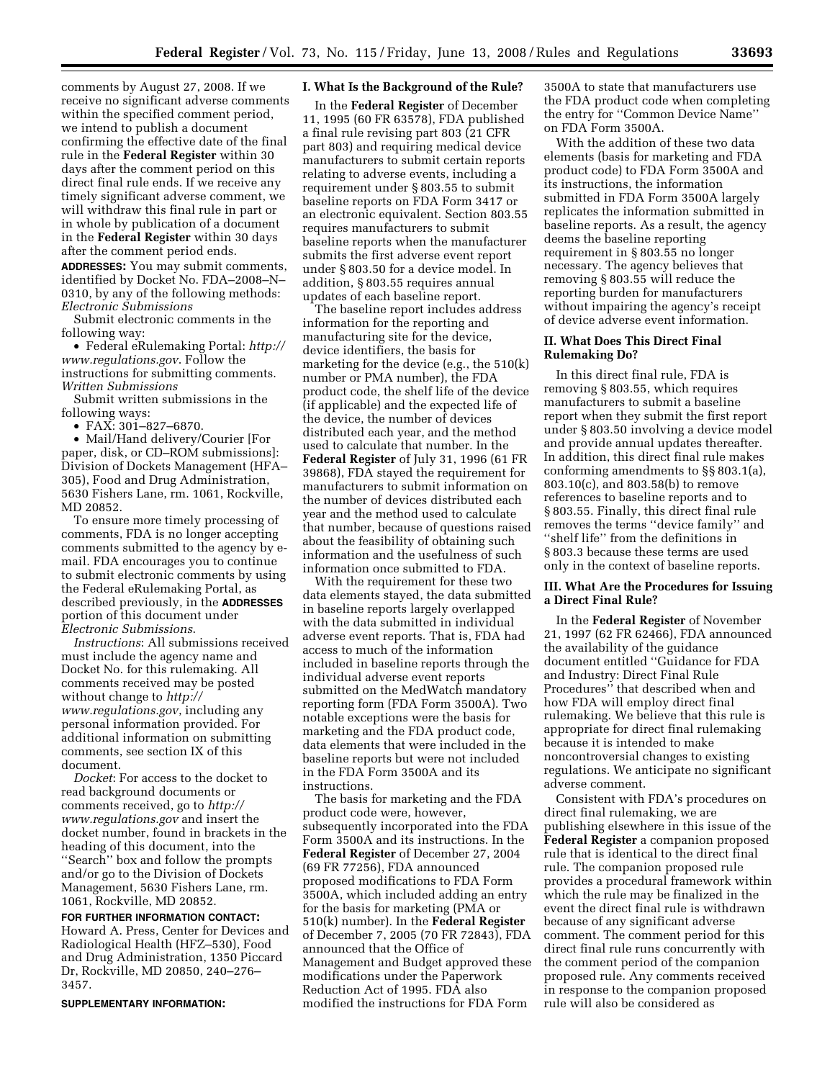comments by August 27, 2008. If we receive no significant adverse comments within the specified comment period, we intend to publish a document confirming the effective date of the final rule in the **Federal Register** within 30 days after the comment period on this direct final rule ends. If we receive any timely significant adverse comment, we will withdraw this final rule in part or in whole by publication of a document in the **Federal Register** within 30 days after the comment period ends.

**ADDRESSES:** You may submit comments, identified by Docket No. FDA–2008–N– 0310, by any of the following methods: *Electronic Submissions* 

Submit electronic comments in the following way:

• Federal eRulemaking Portal: *http:// www.regulations.gov*. Follow the instructions for submitting comments. *Written Submissions* 

Submit written submissions in the following ways:

• FAX: 301–827–6870.

• Mail/Hand delivery/Courier [For paper, disk, or CD–ROM submissions]: Division of Dockets Management (HFA– 305), Food and Drug Administration, 5630 Fishers Lane, rm. 1061, Rockville, MD 20852.

To ensure more timely processing of comments, FDA is no longer accepting comments submitted to the agency by email. FDA encourages you to continue to submit electronic comments by using the Federal eRulemaking Portal, as described previously, in the **ADDRESSES** portion of this document under *Electronic Submissions*.

*Instructions*: All submissions received must include the agency name and Docket No. for this rulemaking. All comments received may be posted without change to *http:// www.regulations.gov*, including any personal information provided. For additional information on submitting comments, see section IX of this document.

*Docket*: For access to the docket to read background documents or comments received, go to *http:// www.regulations.gov* and insert the docket number, found in brackets in the heading of this document, into the ''Search'' box and follow the prompts and/or go to the Division of Dockets Management, 5630 Fishers Lane, rm. 1061, Rockville, MD 20852.

**FOR FURTHER INFORMATION CONTACT:**  Howard A. Press, Center for Devices and Radiological Health (HFZ–530), Food and Drug Administration, 1350 Piccard Dr, Rockville, MD 20850, 240–276– 3457.

**SUPPLEMENTARY INFORMATION:** 

### **I. What Is the Background of the Rule?**

In the **Federal Register** of December 11, 1995 (60 FR 63578), FDA published a final rule revising part 803 (21 CFR part 803) and requiring medical device manufacturers to submit certain reports relating to adverse events, including a requirement under § 803.55 to submit baseline reports on FDA Form 3417 or an electronic equivalent. Section 803.55 requires manufacturers to submit baseline reports when the manufacturer submits the first adverse event report under § 803.50 for a device model. In addition, § 803.55 requires annual updates of each baseline report.

The baseline report includes address information for the reporting and manufacturing site for the device, device identifiers, the basis for marketing for the device (e.g., the 510(k) number or PMA number), the FDA product code, the shelf life of the device (if applicable) and the expected life of the device, the number of devices distributed each year, and the method used to calculate that number. In the **Federal Register** of July 31, 1996 (61 FR 39868), FDA stayed the requirement for manufacturers to submit information on the number of devices distributed each year and the method used to calculate that number, because of questions raised about the feasibility of obtaining such information and the usefulness of such information once submitted to FDA.

With the requirement for these two data elements stayed, the data submitted in baseline reports largely overlapped with the data submitted in individual adverse event reports. That is, FDA had access to much of the information included in baseline reports through the individual adverse event reports submitted on the MedWatch mandatory reporting form (FDA Form 3500A). Two notable exceptions were the basis for marketing and the FDA product code, data elements that were included in the baseline reports but were not included in the FDA Form 3500A and its instructions.

The basis for marketing and the FDA product code were, however, subsequently incorporated into the FDA Form 3500A and its instructions. In the **Federal Register** of December 27, 2004 (69 FR 77256), FDA announced proposed modifications to FDA Form 3500A, which included adding an entry for the basis for marketing (PMA or 510(k) number). In the **Federal Register**  of December 7, 2005 (70 FR 72843), FDA announced that the Office of Management and Budget approved these modifications under the Paperwork Reduction Act of 1995. FDA also modified the instructions for FDA Form

3500A to state that manufacturers use the FDA product code when completing the entry for ''Common Device Name'' on FDA Form 3500A.

With the addition of these two data elements (basis for marketing and FDA product code) to FDA Form 3500A and its instructions, the information submitted in FDA Form 3500A largely replicates the information submitted in baseline reports. As a result, the agency deems the baseline reporting requirement in § 803.55 no longer necessary. The agency believes that removing § 803.55 will reduce the reporting burden for manufacturers without impairing the agency's receipt of device adverse event information.

#### **II. What Does This Direct Final Rulemaking Do?**

In this direct final rule, FDA is removing § 803.55, which requires manufacturers to submit a baseline report when they submit the first report under § 803.50 involving a device model and provide annual updates thereafter. In addition, this direct final rule makes conforming amendments to §§ 803.1(a), 803.10(c), and 803.58(b) to remove references to baseline reports and to § 803.55. Finally, this direct final rule removes the terms ''device family'' and ''shelf life'' from the definitions in § 803.3 because these terms are used only in the context of baseline reports.

# **III. What Are the Procedures for Issuing a Direct Final Rule?**

In the **Federal Register** of November 21, 1997 (62 FR 62466), FDA announced the availability of the guidance document entitled ''Guidance for FDA and Industry: Direct Final Rule Procedures" that described when and how FDA will employ direct final rulemaking. We believe that this rule is appropriate for direct final rulemaking because it is intended to make noncontroversial changes to existing regulations. We anticipate no significant adverse comment.

Consistent with FDA's procedures on direct final rulemaking, we are publishing elsewhere in this issue of the **Federal Register** a companion proposed rule that is identical to the direct final rule. The companion proposed rule provides a procedural framework within which the rule may be finalized in the event the direct final rule is withdrawn because of any significant adverse comment. The comment period for this direct final rule runs concurrently with the comment period of the companion proposed rule. Any comments received in response to the companion proposed rule will also be considered as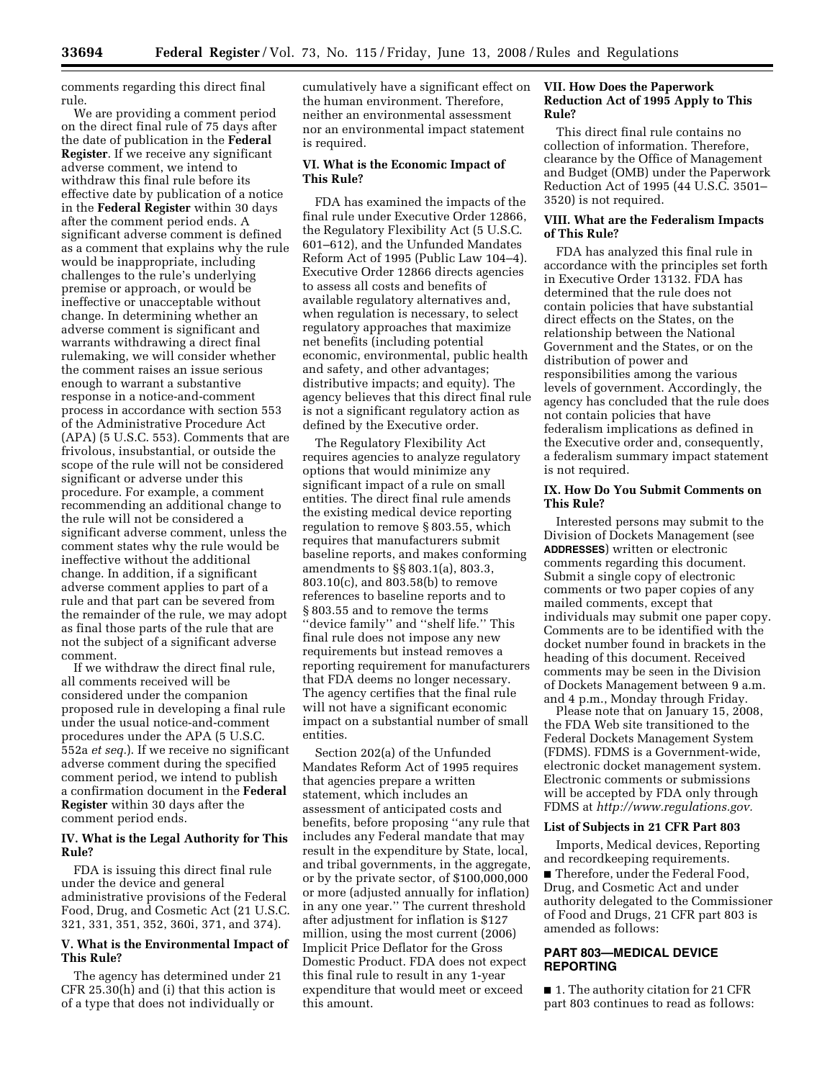comments regarding this direct final rule.

We are providing a comment period on the direct final rule of 75 days after the date of publication in the **Federal Register**. If we receive any significant adverse comment, we intend to withdraw this final rule before its effective date by publication of a notice in the **Federal Register** within 30 days after the comment period ends. A significant adverse comment is defined as a comment that explains why the rule would be inappropriate, including challenges to the rule's underlying premise or approach, or would be ineffective or unacceptable without change. In determining whether an adverse comment is significant and warrants withdrawing a direct final rulemaking, we will consider whether the comment raises an issue serious enough to warrant a substantive response in a notice-and-comment process in accordance with section 553 of the Administrative Procedure Act (APA) (5 U.S.C. 553). Comments that are frivolous, insubstantial, or outside the scope of the rule will not be considered significant or adverse under this procedure. For example, a comment recommending an additional change to the rule will not be considered a significant adverse comment, unless the comment states why the rule would be ineffective without the additional change. In addition, if a significant adverse comment applies to part of a rule and that part can be severed from the remainder of the rule, we may adopt as final those parts of the rule that are not the subject of a significant adverse comment.

If we withdraw the direct final rule, all comments received will be considered under the companion proposed rule in developing a final rule under the usual notice-and-comment procedures under the APA (5 U.S.C. 552a *et seq.*). If we receive no significant adverse comment during the specified comment period, we intend to publish a confirmation document in the **Federal Register** within 30 days after the comment period ends.

### **IV. What is the Legal Authority for This Rule?**

FDA is issuing this direct final rule under the device and general administrative provisions of the Federal Food, Drug, and Cosmetic Act (21 U.S.C. 321, 331, 351, 352, 360i, 371, and 374).

# **V. What is the Environmental Impact of This Rule?**

The agency has determined under 21 CFR 25.30(h) and (i) that this action is of a type that does not individually or

cumulatively have a significant effect on the human environment. Therefore, neither an environmental assessment nor an environmental impact statement is required.

# **VI. What is the Economic Impact of This Rule?**

FDA has examined the impacts of the final rule under Executive Order 12866, the Regulatory Flexibility Act (5 U.S.C. 601–612), and the Unfunded Mandates Reform Act of 1995 (Public Law 104–4). Executive Order 12866 directs agencies to assess all costs and benefits of available regulatory alternatives and, when regulation is necessary, to select regulatory approaches that maximize net benefits (including potential economic, environmental, public health and safety, and other advantages; distributive impacts; and equity). The agency believes that this direct final rule is not a significant regulatory action as defined by the Executive order.

The Regulatory Flexibility Act requires agencies to analyze regulatory options that would minimize any significant impact of a rule on small entities. The direct final rule amends the existing medical device reporting regulation to remove § 803.55, which requires that manufacturers submit baseline reports, and makes conforming amendments to §§ 803.1(a), 803.3, 803.10(c), and 803.58(b) to remove references to baseline reports and to § 803.55 and to remove the terms ''device family'' and ''shelf life.'' This final rule does not impose any new requirements but instead removes a reporting requirement for manufacturers that FDA deems no longer necessary. The agency certifies that the final rule will not have a significant economic impact on a substantial number of small entities.

Section 202(a) of the Unfunded Mandates Reform Act of 1995 requires that agencies prepare a written statement, which includes an assessment of anticipated costs and benefits, before proposing ''any rule that includes any Federal mandate that may result in the expenditure by State, local, and tribal governments, in the aggregate, or by the private sector, of \$100,000,000 or more (adjusted annually for inflation) in any one year.'' The current threshold after adjustment for inflation is \$127 million, using the most current (2006) Implicit Price Deflator for the Gross Domestic Product. FDA does not expect this final rule to result in any 1-year expenditure that would meet or exceed this amount.

# **VII. How Does the Paperwork Reduction Act of 1995 Apply to This Rule?**

This direct final rule contains no collection of information. Therefore, clearance by the Office of Management and Budget (OMB) under the Paperwork Reduction Act of 1995 (44 U.S.C. 3501– 3520) is not required.

# **VIII. What are the Federalism Impacts of This Rule?**

FDA has analyzed this final rule in accordance with the principles set forth in Executive Order 13132. FDA has determined that the rule does not contain policies that have substantial direct effects on the States, on the relationship between the National Government and the States, or on the distribution of power and responsibilities among the various levels of government. Accordingly, the agency has concluded that the rule does not contain policies that have federalism implications as defined in the Executive order and, consequently, a federalism summary impact statement is not required.

#### **IX. How Do You Submit Comments on This Rule?**

Interested persons may submit to the Division of Dockets Management (see **ADDRESSES**) written or electronic comments regarding this document. Submit a single copy of electronic comments or two paper copies of any mailed comments, except that individuals may submit one paper copy. Comments are to be identified with the docket number found in brackets in the heading of this document. Received comments may be seen in the Division of Dockets Management between 9 a.m. and 4 p.m., Monday through Friday.

Please note that on January 15, 2008, the FDA Web site transitioned to the Federal Dockets Management System (FDMS). FDMS is a Government-wide, electronic docket management system. Electronic comments or submissions will be accepted by FDA only through FDMS at *http://www.regulations.gov.* 

#### **List of Subjects in 21 CFR Part 803**

Imports, Medical devices, Reporting and recordkeeping requirements.

■ Therefore, under the Federal Food, Drug, and Cosmetic Act and under authority delegated to the Commissioner of Food and Drugs, 21 CFR part 803 is amended as follows:

# **PART 803—MEDICAL DEVICE REPORTING**

■ 1. The authority citation for 21 CFR part 803 continues to read as follows: